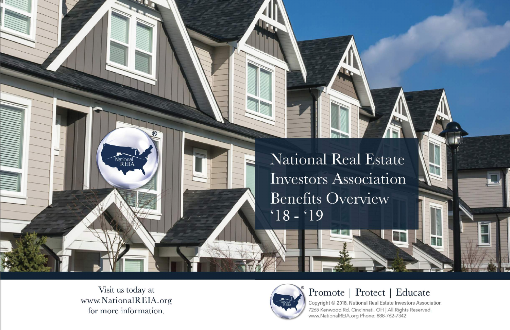National Real Estate Investors Association **Benefits Overview**  $18 - 19$ 

Visit us today at www.NationalREIA.org for more information.

National<br>REIA



Promote | Protect | Educate

Copyright © 2018, National Real Estate Investors Association 7265 Kenwood Rd. Cincinnati, OH | All Rights Reserved www.NationalREIA.org Phone: 888-762-7342